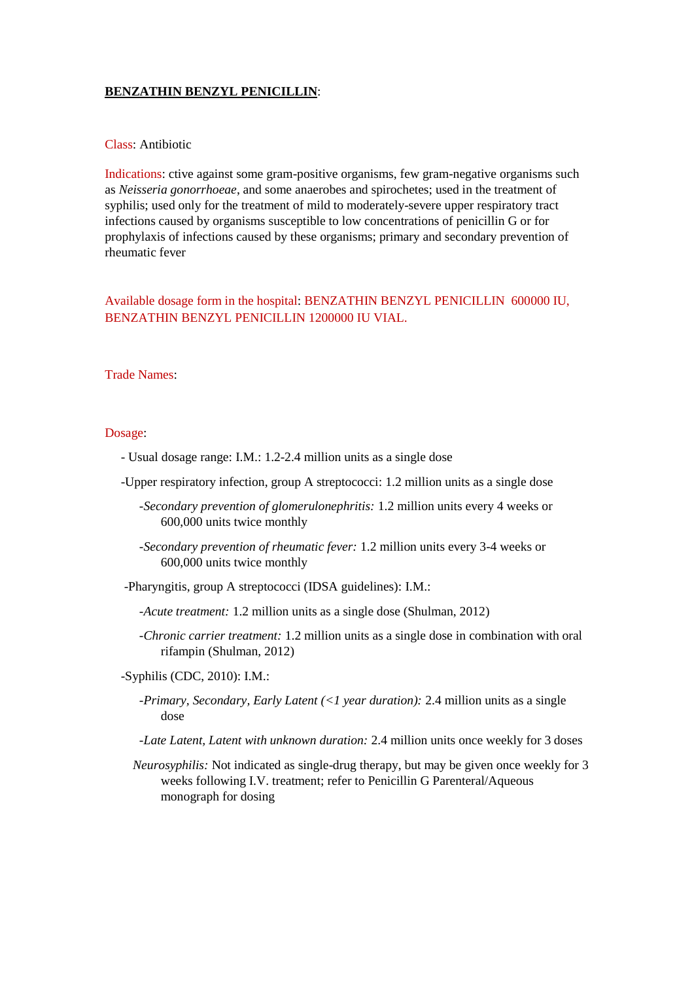## **BENZATHIN BENZYL PENICILLIN**:

## Class: Antibiotic

Indications: ctive against some gram-positive organisms, few gram-negative organisms such as *Neisseria gonorrhoeae*, and some anaerobes and spirochetes; used in the treatment of syphilis; used only for the treatment of mild to moderately-severe upper respiratory tract infections caused by organisms susceptible to low concentrations of penicillin G or for prophylaxis of infections caused by these organisms; primary and secondary prevention of rheumatic fever

Available dosage form in the hospital: BENZATHIN BENZYL PENICILLIN 600000 IU, BENZATHIN BENZYL PENICILLIN 1200000 IU VIAL.

## Trade Names:

## Dosage:

- Usual dosage range: I.M.: 1.2-2.4 million units as a single dose
- -Upper respiratory infection, group A streptococci: 1.2 million units as a single dose
	- *-Secondary prevention of glomerulonephritis:* 1.2 million units every 4 weeks or 600,000 units twice monthly
	- *-Secondary prevention of rheumatic fever:* 1.2 million units every 3-4 weeks or 600,000 units twice monthly
- -Pharyngitis, group A streptococci (IDSA guidelines): I.M.:
	- *-Acute treatment:* 1.2 million units as a single dose (Shulman, 2012)
	- *-Chronic carrier treatment:* 1.2 million units as a single dose in combination with oral rifampin (Shulman, 2012)
- -Syphilis (CDC, 2010): I.M.:
	- *-Primary, Secondary, Early Latent (<1 year duration):* 2.4 million units as a single dose
	- *-Late Latent, Latent with unknown duration:* 2.4 million units once weekly for 3 doses
	- *Neurosyphilis:* Not indicated as single-drug therapy, but may be given once weekly for 3 weeks following I.V. treatment; refer to Penicillin G Parenteral/Aqueous monograph for dosing